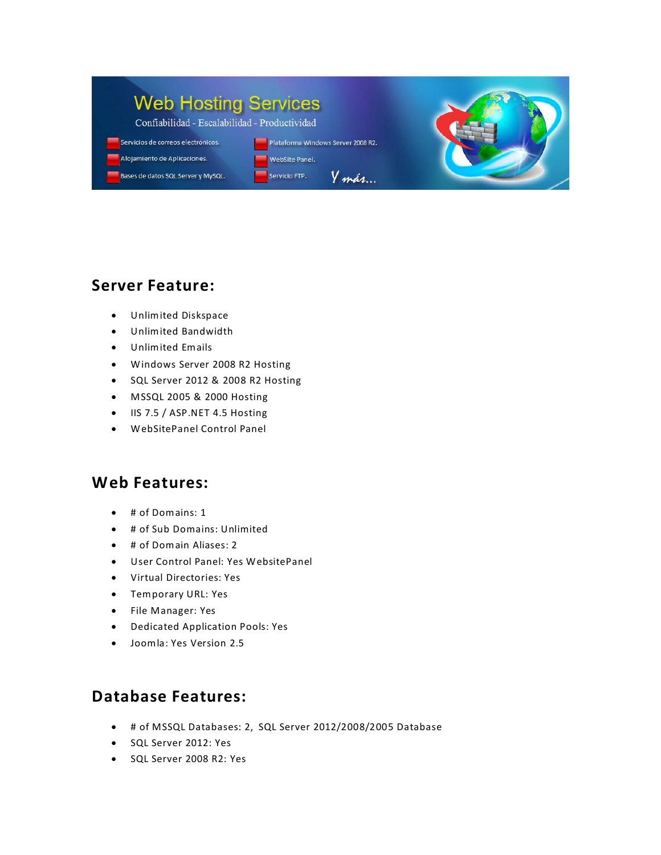#### **Web Hosting Services** Confiabilidad - Escalabilidad - Productividad Servicios de correos electrónicos. Plataforma Windows Server 2008 R2. Alojamiento de Aplicaciones.

WebSite Panel.

 $Y$ *más*...

Servicio FTP.



Unlimited Diskspace

Bases de datos SQL Server y MySQL.

- Unlimited Bandwidth
- Unlimited Emails
- Windows Server 2008 R2 Hosting
- SQL Server 2012 & 2008 R2 Hosting
- MSSQL 2005 & 2000 Hosting
- IIS 7.5 / ASP.NET 4.5 Hosting
- WebSitePanel Control Panel

#### **Web Features:**

- # of Domains: 1
- # of Sub Domains: Unlimited
- # of Domain Aliases: 2
- User Control Panel: Yes WebsitePanel
- Virtual Directories: Yes
- Temporary URL: Yes
- File Manager: Yes
- Dedicated Application Pools: Yes
- Joomla: Yes Version 2.5

## **Database Features:**

- # of MSSQL Databases: 2, SQL Server 2012/2008/2005 Database
- SQL Server 2012: Yes
- SQL Server 2008 R2: Yes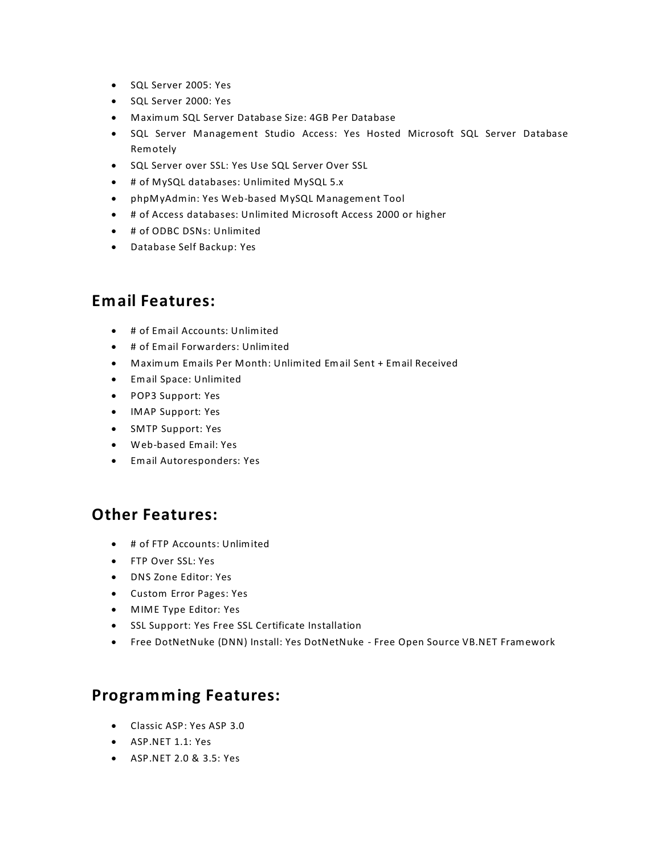- SQL Server 2005: Yes
- SQL Server 2000: Yes
- Maximum SQL Server Database Size: 4GB Per Database
- **•** SQL Server Management Studio Access: Yes Hosted Microsoft SQL Server Database Remotely
- **SQL Server over SSL: Yes Use SQL Server Over SSL**
- # of MySQL databases: Unlimited MySQL 5.x
- phpMyAdmin: Yes Web-based MySQL Management Tool
- # of Access databases: Unlimited Microsoft Access 2000 or higher
- $\bullet$  # of ODBC DSNs: Unlimited
- Database Self Backup: Yes

## **Email Features:**

- # of Email Accounts: Unlimited
- # of Email Forwarders: Unlimited
- Maximum Emails Per Month: Unlimited Email Sent + Email Received
- Email Space: Unlimited
- POP3 Support: Yes
- IMAP Support: Yes
- SMTP Support: Yes
- Web-based Email: Yes
- Email Autoresponders: Yes

## **Other Features:**

- # of FTP Accounts: Unlimited
- FTP Over SSL: Yes
- DNS Zone Editor: Yes
- Custom Error Pages: Yes
- MIME Type Editor: Yes
- SSL Support: Yes Free SSL Certificate Installation
- Free DotNetNuke (DNN) Install: Yes DotNetNuke Free Open Source VB.NET Framework

## **Programming Features:**

- Classic ASP: Yes ASP 3.0
- ASP.NET 1.1: Yes
- ASP.NET 2.0 & 3.5: Yes